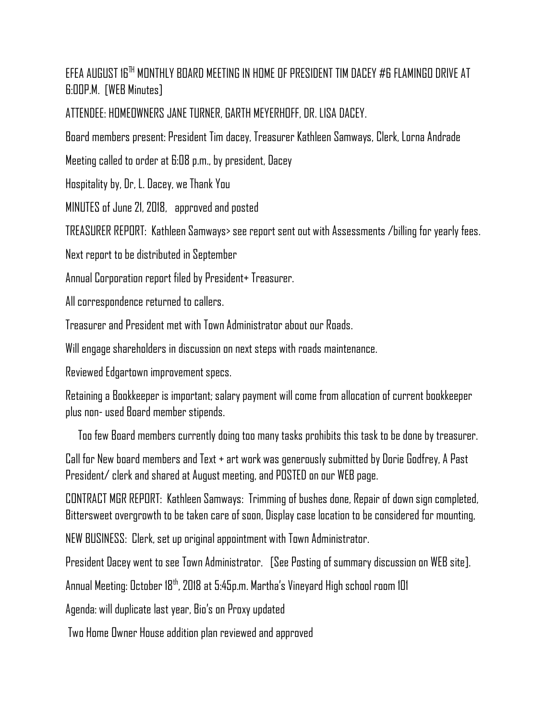EFEA AUGUST 16TH MONTHLY BOARD MEETING IN HOME OF PRESIDENT TIM DACEY #6 FLAMINGO DRIVE AT 6:00P.M. [WEB Minutes]

ATTENDEE: HOMEOWNERS JANE TURNER, GARTH MEYERHOFF, DR. LISA DACEY.

Board members present: President Tim dacey, Treasurer Kathleen Samways, Clerk, Lorna Andrade

Meeting called to order at 6:08 p.m., by president, Dacey

Hospitality by, Dr, L. Dacey, we Thank You

MINUTES of June 21, 2018, approved and posted

TREASURER REPORT: Kathleen Samways> see report sent out with Assessments /billing for yearly fees.

Next report to be distributed in September

Annual Corporation report filed by President+ Treasurer.

All correspondence returned to callers.

Treasurer and President met with Town Administrator about our Roads.

Will engage shareholders in discussion on next steps with roads maintenance.

Reviewed Edgartown improvement specs.

Retaining a Bookkeeper is important; salary payment will come from allocation of current bookkeeper plus non- used Board member stipends.

Too few Board members currently doing too many tasks prohibits this task to be done by treasurer.

Call for New board members and Text + art work was generously submitted by Dorie Godfrey, A Past President/ clerk and shared at August meeting, and POSTED on our WEB page.

CONTRACT MGR REPORT: Kathleen Samways: Trimming of bushes done, Repair of down sign completed, Bittersweet overgrowth to be taken care of soon, Display case location to be considered for mounting,

NEW BUSINESS: Clerk, set up original appointment with Town Administrator.

President Dacey went to see Town Administrator. [See Posting of summary discussion on WEB site].

Annual Meeting: October 18th, 2018 at 5:45p.m. Martha's Vineyard High school room 101

Agenda: will duplicate last year, Bio's on Proxy updated

Two Home Owner House addition plan reviewed and approved